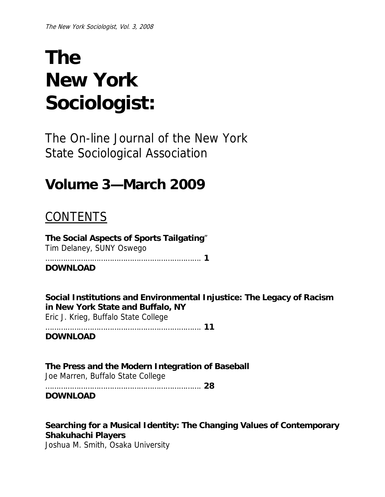# **The New York Sociologist:**

The On-line Journal of the New York State Sociological Association

# **Volume 3—March 2009**

# **CONTENTS**

**The Social Aspects of Sports Tailgating**" Tim Delaney, SUNY Oswego

……………………………………………………………. **1** 

**DOWNLOAD**

**Social Institutions and Environmental Injustice: The Legacy of Racism in New York State and Buffalo, NY**

Eric J. Krieg, Buffalo State College

```
……………………………………………………………. 11
```
**DOWNLOAD**

**The Press and the Modern Integration of Baseball**  Joe Marren, Buffalo State College ……………………………………………………………. **28** 

**DOWNLOAD**

**Searching for a Musical Identity: The Changing Values of Contemporary Shakuhachi Players** 

Joshua M. Smith, Osaka University